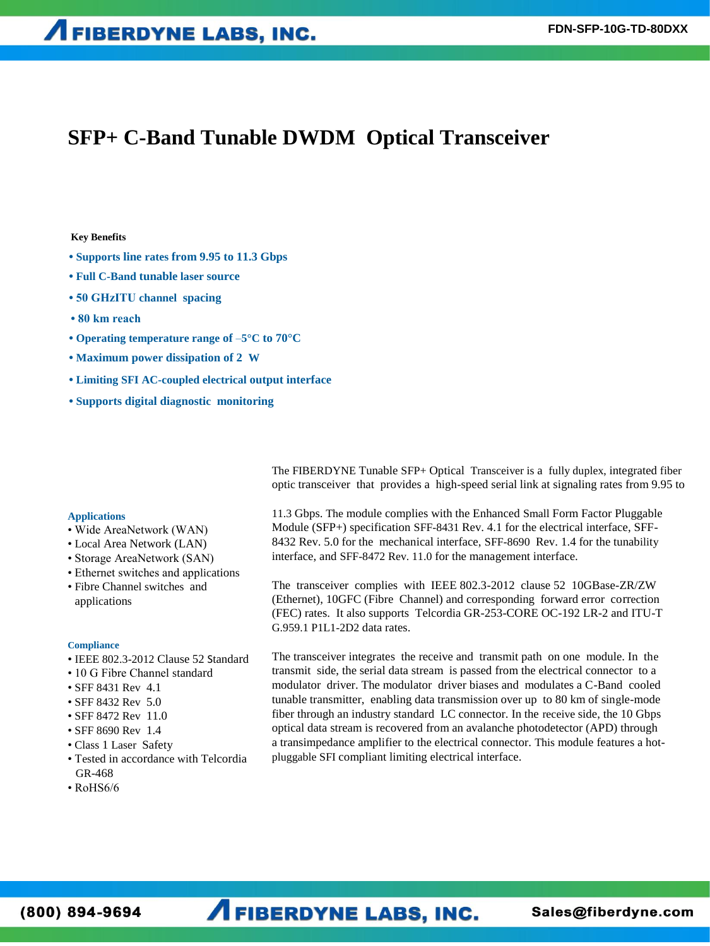## **SFP+ C-Band Tunable DWDM Optical Transceiver**

### **Key Benefits**

- **Supports line rates from 9.95 to 11.3 Gbps**
- **Full C-Band tunable laser source**
- **50 GHzITU channel spacing**
- **80 km reach**
- **Operating temperature range of** –**5°C to 70°C**
- **Maximum power dissipation of 2 W**
- **Limiting SFI AC-coupled electrical output interface**
- **Supports digital diagnostic monitoring**

The FIBERDYNE Tunable SFP+ Optical Transceiver is a fully duplex, integrated fiber optic transceiver that provides a high-speed serial link at signaling rates from 9.95 to

### **Applications**

- Wide AreaNetwork (WAN)
- Local Area Network (LAN)
- Storage AreaNetwork (SAN)
- Ethernet switches and applications
- Fibre Channel switches and applications

### **Compliance**

- IEEE 802.3-2012 Clause 52 Standard
- 10 G Fibre Channel standard
- SFF 8431 Rev 4.1
- SFF 8432 Rev 5.0
- SFF 8472 Rev 11.0
- SFF 8690 Rev 1.4
- Class 1 Laser Safety
- Tested in accordance with Telcordia GR-468
- RoHS6/6

11.3 Gbps. The module complies with the Enhanced Small Form Factor Pluggable Module (SFP+) specification SFF-8431 Rev. 4.1 for the electrical interface, SFF-8432 Rev. 5.0 for the mechanical interface, SFF-8690 Rev. 1.4 for the tunability interface, and SFF-8472 Rev. 11.0 for the management interface.

The transceiver complies with IEEE 802.3-2012 clause 52 10GBase-ZR/ZW (Ethernet), 10GFC (Fibre Channel) and corresponding forward error correction (FEC) rates. It also supports Telcordia GR-253-CORE OC-192 LR-2 and ITU-T G.959.1 P1L1-2D2 data rates.

The transceiver integrates the receive and transmit path on one module. In the transmit side, the serial data stream is passed from the electrical connector to a modulator driver. The modulator driver biases and modulates a C-Band cooled tunable transmitter, enabling data transmission over up to 80 km of single-mode fiber through an industry standard LC connector. In the receive side, the 10 Gbps optical data stream is recovered from an avalanche photodetector (APD) through a transimpedance amplifier to the electrical connector. This module features a hotpluggable SFI compliant limiting electrical interface.

# **AFIBERDYNE LABS, INC.**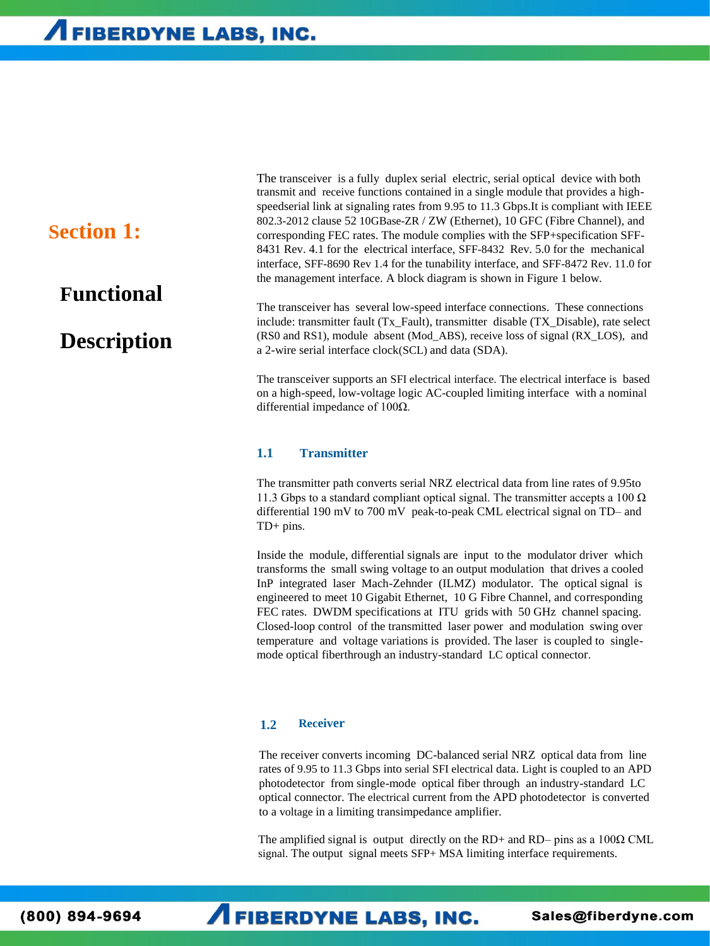## **Section 1:**

## **Functional**

## **Description**

The transceiver is a fully duplex serial electric, serial optical device with both transmit and receive functions contained in a single module that provides a highspeedserial link at signaling rates from 9.95 to 11.3 Gbps.It is compliant with IEEE 802.3-2012 clause 52 10GBase-ZR / ZW (Ethernet), 10 GFC (Fibre Channel), and corresponding FEC rates. The module complies with the SFP+specification SFF-8431 Rev. 4.1 for the electrical interface, SFF-8432 Rev. 5.0 for the mechanical interface, SFF-8690 Rev 1.4 for the tunability interface, and SFF-8472 Rev. 11.0 for the management interface. A block diagram is shown in Figure 1 below.

The transceiver has several low-speed interface connections. These connections include: transmitter fault (Tx\_Fault), transmitter disable (TX\_Disable), rate select (RS0 and RS1), module absent (Mod\_ABS), receive loss of signal (RX\_LOS), and a 2-wire serial interface clock(SCL) and data (SDA).

The transceiver supports an SFI electrical interface. The electrical interface is based on a high-speed, low-voltage logic AC-coupled limiting interface with a nominal differential impedance of 100Ω.

### **1.1 Transmitter**

The transmitter path converts serial NRZ electrical data from line rates of 9.95to 11.3 Gbps to a standard compliant optical signal. The transmitter accepts a 100  $\Omega$ differential 190 mV to 700 mV peak-to-peak CML electrical signal on TD– and TD+ pins.

Inside the module, differential signals are input to the modulator driver which transforms the small swing voltage to an output modulation that drives a cooled InP integrated laser Mach-Zehnder (ILMZ) modulator. The optical signal is engineered to meet 10 Gigabit Ethernet, 10 G Fibre Channel, and corresponding FEC rates. DWDM specifications at ITU grids with 50 GHz channel spacing. Closed-loop control of the transmitted laser power and modulation swing over temperature and voltage variations is provided. The laser is coupled to singlemode optical fiberthrough an industry-standard LC optical connector.

### **1.2 Receiver**

The receiver converts incoming DC-balanced serial NRZ optical data from line rates of 9.95 to 11.3 Gbps into serial SFI electrical data. Light is coupled to an APD photodetector from single-mode optical fiber through an industry-standard LC optical connector. The electrical current from the APD photodetector is converted to a voltage in a limiting transimpedance amplifier.

The amplified signal is output directly on the RD+ and RD– pins as a  $100\Omega$  CML signal. The output signal meets SFP+ MSA limiting interface requirements.

(800) 894-9694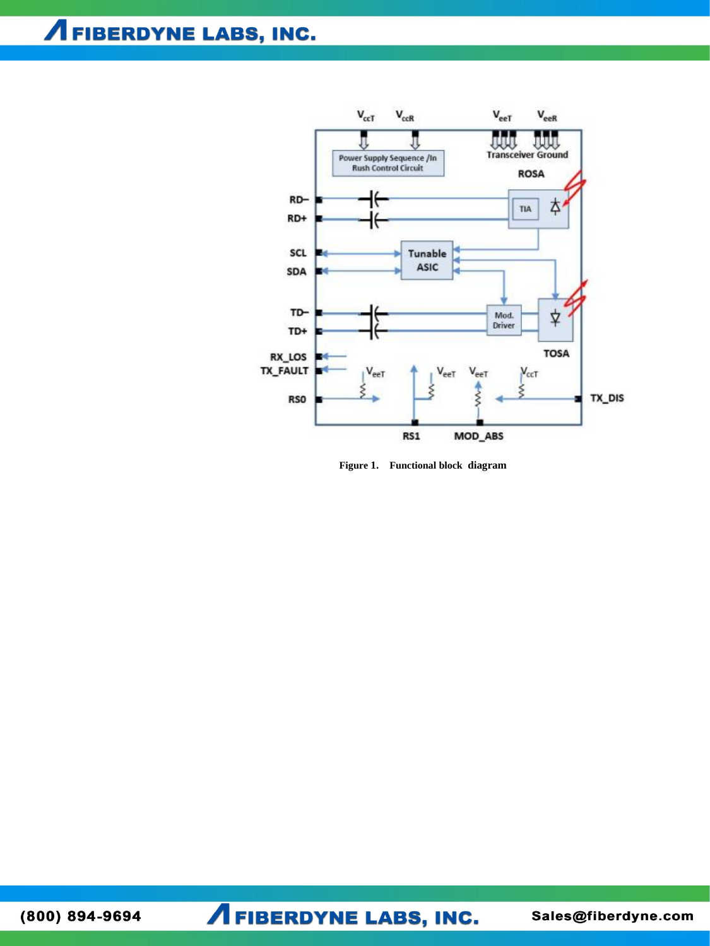**A FIBERDYNE LABS, INC.** 



Figure 1. Functional block diagram

(800) 894-9694

**AFIBERDYNE LABS, INC.**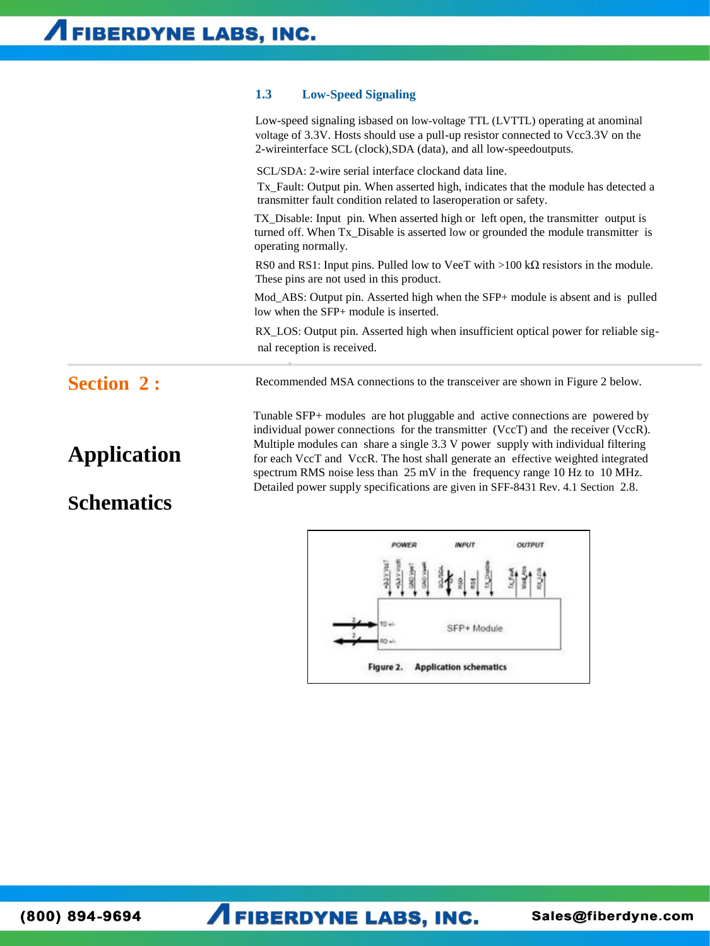### **1.3 Low-Speed Signaling**

Low-speed signaling isbased on low-voltage TTL (LVTTL) operating at anominal voltage of 3.3V. Hosts should use a pull-up resistor connected to Vcc3.3V on the 2-wireinterface SCL (clock),SDA (data), and all low-speedoutputs.

SCL/SDA: 2-wire serial interface clockand data line.

Tx\_Fault: Output pin. When asserted high, indicates that the module has detected a transmitter fault condition related to laseroperation or safety.

TX\_Disable: Input pin. When asserted high or left open, the transmitter output is turned off. When Tx\_Disable is asserted low or grounded the module transmitter is operating normally.

RS0 and RS1: Input pins. Pulled low to VeeT with >100 k $\Omega$  resistors in the module. These pins are not used in this product.

Mod\_ABS: Output pin. Asserted high when the SFP+ module is absent and is pulled low when the SFP+ module is inserted.

RX\_LOS: Output pin. Asserted high when insufficient optical power for reliable signal reception is received.

Recommended MSA connections to the transceiver are shown in Figure 2 below.

## **Section 2 :**

# **Application**

## **Schematics**

Tunable SFP+ modules are hot pluggable and active connections are powered by individual power connections for the transmitter (VccT) and the receiver (VccR). Multiple modules can share a single 3.3 V power supply with individual filtering for each VccT and VccR. The host shall generate an effective weighted integrated spectrum RMS noise less than 25 mV in the frequency range 10 Hz to 10 MHz. Detailed power supply specifications are given in SFF-8431 Rev. 4.1 Section 2.8.

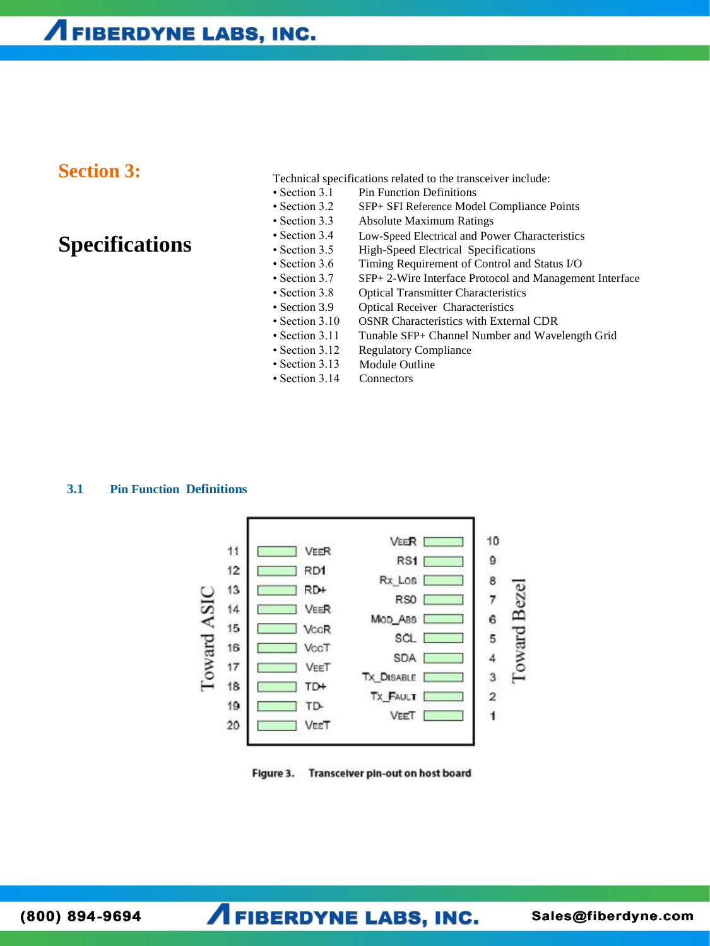## **Section 3:**

**Specifications**

### Technical specifications related to the transceiver include:

- Section 3.1 Pin Function Definitions
- Section 3.2 SFP+ SFI Reference Model Compliance Points
- Section 3.3 Absolute Maximum Ratings
- Section 3.4 Low-Speed Electrical and Power Characteristics
- Section 3.5 High-Speed Electrical Specifications
- Section 3.6 Timing Requirement of Control and Status I/O
- Section 3.7 SFP+ 2-Wire Interface Protocol and Management Interface
- Section 3.8 Optical Transmitter Characteristics
- Section 3.9 Optical Receiver Characteristics
- Section 3.10 OSNR Characteristics with External CDR
- Section 3.11 Tunable SFP+ Channel Number and Wavelength Grid
- Section 3.12 Regulatory Compliance
- Section 3.13 Module Outline
- Section 3.14 **Connectors**

### **3.1 Pin Function Definitions**



Figure 3. Transceiver pin-out on host board

 $(800) 894 - 9694$ 

**AFIBERDYNE LABS, INC.**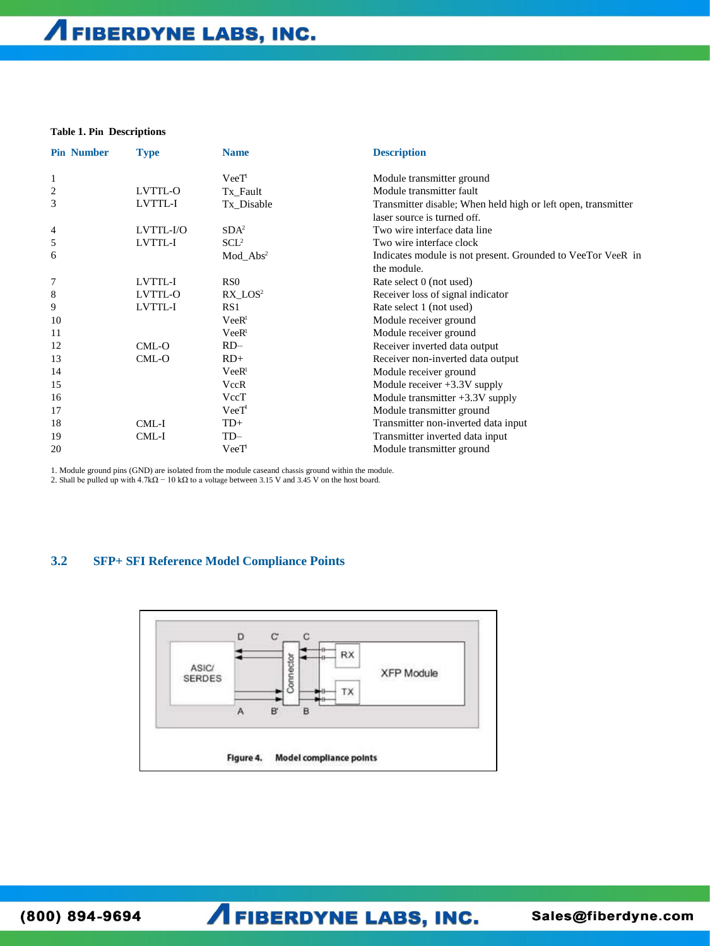### **Table 1. Pin Descriptions**

| <b>Pin Number</b> | <b>Type</b> | <b>Name</b>       | <b>Description</b>                                                         |
|-------------------|-------------|-------------------|----------------------------------------------------------------------------|
|                   |             | $Vec{T}$          | Module transmitter ground                                                  |
| 2                 | LVTTL-O     | Tx_Fault          | Module transmitter fault                                                   |
| 3                 | LVTTL-I     | Tx Disable        | Transmitter disable; When held high or left open, transmitter              |
|                   |             |                   | laser source is turned off.                                                |
| 4                 | LVTTL-I/O   | SDA <sup>2</sup>  | Two wire interface data line                                               |
| 5                 | LVTTL-I     | SCL <sup>2</sup>  | Two wire interface clock                                                   |
| 6                 |             | $Mod\_Abs^2$      | Indicates module is not present. Grounded to VeeTor VeeR in<br>the module. |
| 7                 | LVTTL-I     | RS0               | Rate select 0 (not used)                                                   |
| 8                 | LVTTL-O     | $RX$ $LOS2$       | Receiver loss of signal indicator                                          |
| 9                 | LVTTL-I     | RS1               | Rate select 1 (not used)                                                   |
| 10                |             | VeeR <sup>1</sup> | Module receiver ground                                                     |
| 11                |             | VeeR <sup>1</sup> | Module receiver ground                                                     |
| 12                | CML-O       | $RD-$             | Receiver inverted data output                                              |
| 13                | CML-O       | $RD+$             | Receiver non-inverted data output                                          |
| 14                |             | VeeR <sup>1</sup> | Module receiver ground                                                     |
| 15                |             | VccR              | Module receiver $+3.3V$ supply                                             |
| 16                |             | VecT              | Module transmitter $+3.3V$ supply                                          |
| 17                |             | VeeT              | Module transmitter ground                                                  |
| 18                | CML-I       | $TD+$             | Transmitter non-inverted data input                                        |
| 19                | CML-I       | TD-               | Transmitter inverted data input                                            |
| 20                |             | VecT              | Module transmitter ground                                                  |

1. Module ground pins (GND) are isolated from the module caseand chassis ground within the module.

2. Shall be pulled up with  $4.7k\Omega - 10 k\Omega$  to a voltage between 3.15 V and 3.45 V on the host board.

### **3.2 SFP+ SFI Reference Model Compliance Points**



(800) 894-9694

**AFIBERDYNE LABS, INC.**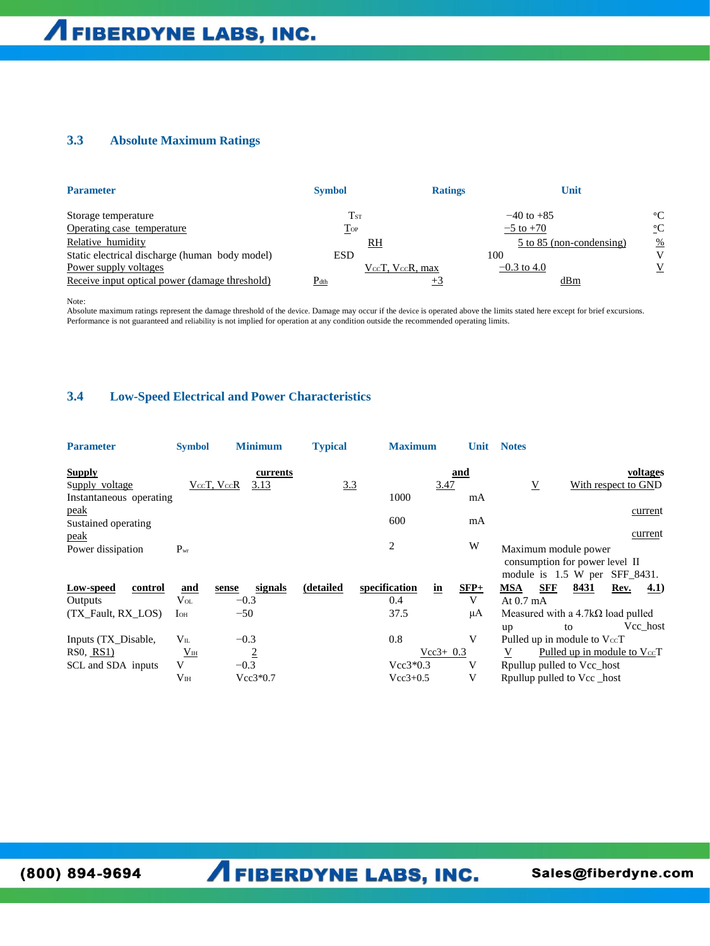## **3.3 Absolute Maximum Ratings**

| <b>Parameter</b>                               | <b>Symbol</b>              | <b>Ratings</b> | Unit                     |                 |
|------------------------------------------------|----------------------------|----------------|--------------------------|-----------------|
| Storage temperature                            | $\mathrm{T}_{\mathrm{ST}}$ |                | $-40$ to $+85$           | $\rm ^{\circ}C$ |
| Operating case temperature                     | $\Gamma$ OP                |                | $-5$ to $+70$            | $\rm ^{\circ}C$ |
| Relative humidity                              | $\underline{RH}$           |                | 5 to 85 (non-condensing) | $\frac{\%}{\ }$ |
| Static electrical discharge (human body model) | <b>ESD</b>                 | 100            |                          | V               |
| Power supply voltages                          | VccT, VccR, max            |                | $-0.3$ to 4.0            | V               |
| Receive input optical power (damage threshold) | $P_{dth}$                  |                | dBm                      |                 |

Note:

Absolute maximum ratings represent the damage threshold of the device. Damage may occur if the device is operated above the limits stated here except for brief excursions. Performance is not guaranteed and reliability is not implied for operation at any condition outside the recommended operating limits.

### **3.4 Low-Speed Electrical and Power Characteristics**

| <b>Parameter</b>                                       | <b>Symbol</b>                                       | <b>Minimum</b>                                   | <b>Typical</b> | <b>Maximum</b>                                  | <b>Unit</b> | <b>Notes</b>                                                                                                                                                                  |
|--------------------------------------------------------|-----------------------------------------------------|--------------------------------------------------|----------------|-------------------------------------------------|-------------|-------------------------------------------------------------------------------------------------------------------------------------------------------------------------------|
| <b>Supply</b><br>Supply voltage                        |                                                     | currents<br>VccT, VccR<br>3.13                   | 3.3            | 3.47                                            | and         | voltages<br>$\overline{V}$<br>With respect to GND                                                                                                                             |
| Instantaneous operating                                |                                                     |                                                  |                | 1000                                            | mA          |                                                                                                                                                                               |
| peak<br>Sustained operating                            |                                                     |                                                  |                | 600                                             | mA          | current                                                                                                                                                                       |
| peak                                                   |                                                     |                                                  |                |                                                 |             | current                                                                                                                                                                       |
| Power dissipation                                      | $P_{wr}$                                            |                                                  |                | $\overline{c}$                                  | W           | Maximum module power<br>consumption for power level II<br>module is 1.5 W per<br>SFF_8431.                                                                                    |
| Low-speed<br>control                                   | and                                                 | signals<br>sense                                 | (detailed      | specification<br>in                             | $SFP+$      | MSA<br><b>SFF</b><br>8431<br>Rev.<br>4.1)                                                                                                                                     |
| Outputs                                                | $V_{OL}$                                            | $-0.3$                                           |                | 0.4                                             | V           | At $0.7 \text{ mA}$                                                                                                                                                           |
| (TX_Fault, RX_LOS)                                     | $I_{OH}$                                            | $-50$                                            |                | 37.5                                            | μA          | Measured with a $4.7k\Omega$ load pulled                                                                                                                                      |
| Inputs (TX_Disable,<br>RS0, RS1)<br>SCL and SDA inputs | $V_{IL}$<br>V <sub>IH</sub><br>V<br>V <sub>IH</sub> | $-0.3$<br>$\overline{2}$<br>$-0.3$<br>$Vec3*0.7$ |                | 0.8<br>$Vec3 + 0.3$<br>$Vec3*0.3$<br>$Vec3+0.5$ | V<br>V<br>V | Vcc_host<br>to<br>up<br>Pulled up in module to $V_{\text{cc}}$ T<br>Pulled up in module to $V_{\text{cc}}$ T<br>V<br>Rpullup pulled to Vcc_host<br>Rpullup pulled to Vcc host |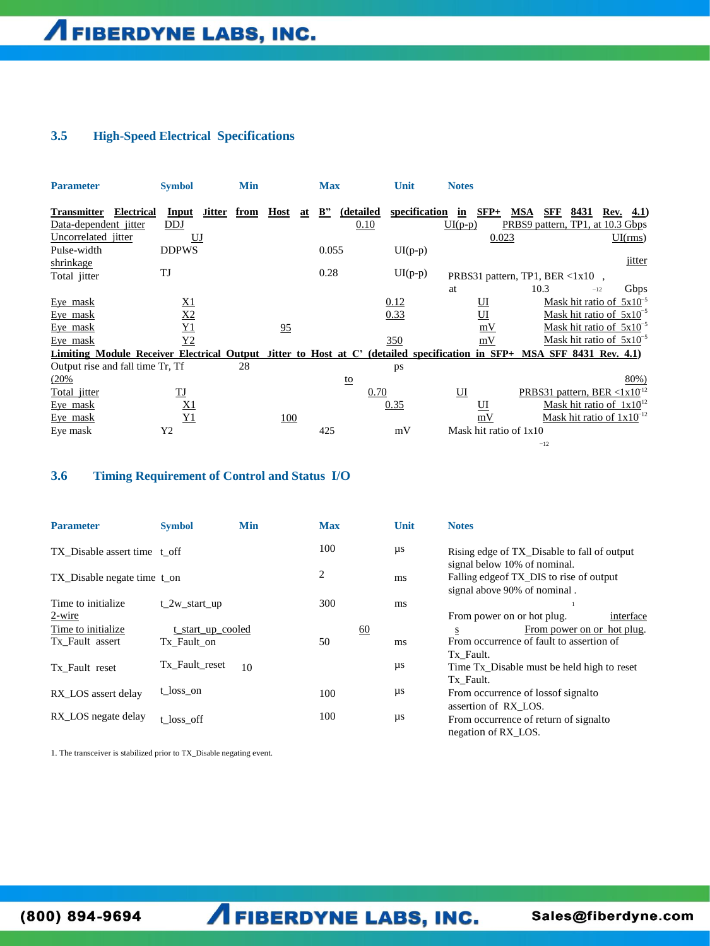### **3.5 High-Speed Electrical Specifications**

| <b>Parameter</b>                                | <b>Symbol</b>                                                                                                          | <b>Min</b>            |                   | <b>Max</b>                  | Unit                               | <b>Notes</b>              |                                                   |                                |                          |
|-------------------------------------------------|------------------------------------------------------------------------------------------------------------------------|-----------------------|-------------------|-----------------------------|------------------------------------|---------------------------|---------------------------------------------------|--------------------------------|--------------------------|
| <b>Transmitter</b><br>Data-dependent jitter     | <b>Electrical</b><br>Input<br>DDJ                                                                                      | <b>Jitter</b><br>from | <b>Host</b><br>at | $\mathbf{B}^{\prime\prime}$ | specification<br>(detailed<br>0.10 | $SFP+$<br>in<br>$UI(p-p)$ | SFF<br>MSA<br>PRBS9 pattern, TP1, at 10.3 Gbps    | 8431<br>Rev.                   | <b>4.1</b> )             |
| Uncorrelated jitter<br>Pulse-width<br>shrinkage | $U$ J<br><b>DDPWS</b>                                                                                                  |                       |                   | 0.055                       | $UI(p-p)$                          | 0.023                     |                                                   |                                | UI(rms)<br><i>jitter</i> |
| Total jitter                                    | TJ                                                                                                                     |                       |                   | 0.28                        | $UI(p-p)$                          |                           | PRBS31 pattern, TP1, BER $\langle 1x10 \rangle$ , |                                |                          |
|                                                 |                                                                                                                        |                       |                   |                             |                                    | at                        | 10.3                                              | $-12$                          | Gbps                     |
| Eye mask                                        | <u>X1</u>                                                                                                              |                       |                   |                             | 0.12                               | Ш                         |                                                   | Mask hit ratio of $5x10^{-5}$  |                          |
| Eye mask                                        | <u>X2</u>                                                                                                              |                       |                   |                             | 0.33                               | $_{\rm UI}$               |                                                   | Mask hit ratio of $5x10^{-5}$  |                          |
| Eye mask                                        | <u>Y1</u>                                                                                                              |                       | 95                |                             |                                    | mV                        |                                                   | Mask hit ratio of $5x10^{-5}$  |                          |
| Eye mask                                        | Y2                                                                                                                     |                       |                   |                             | 350                                | mV                        |                                                   | Mask hit ratio of $5x10^{-5}$  |                          |
|                                                 | Limiting Module Receiver Electrical Output Jitter to Host at C' (detailed specification in SFP+ MSA SFF 8431 Rev. 4.1) |                       |                   |                             |                                    |                           |                                                   |                                |                          |
|                                                 | Output rise and fall time Tr, Tf                                                                                       | 28                    |                   |                             | ps                                 |                           |                                                   |                                |                          |
| (20%                                            |                                                                                                                        |                       |                   | <u>to</u>                   |                                    |                           |                                                   |                                | 80%)                     |
| Total jitter                                    | $\underline{\text{TJ}}$                                                                                                |                       |                   |                             | 0.70                               | $\overline{u}$            | PRBS31 pattern, BER < $1x10^{12}$                 |                                |                          |
| Eye mask                                        | <u>X1</u>                                                                                                              |                       |                   |                             | 0.35                               | $_{\rm UI}$               |                                                   | Mask hit ratio of $1x10^{12}$  |                          |
| Eye mask                                        | Y1                                                                                                                     |                       | <u>100</u>        |                             |                                    | mV                        |                                                   | Mask hit ratio of $1x10^{-12}$ |                          |
| Eye mask                                        | Y2                                                                                                                     |                       |                   | 425                         | mV                                 | Mask hit ratio of 1x10    |                                                   |                                |                          |
|                                                 |                                                                                                                        |                       |                   |                             |                                    |                           | $-12$                                             |                                |                          |

### **3.6 Timing Requirement of Control and Status I/O**

| <b>Parameter</b>              | <b>Symbol</b>     | <b>Min</b> | <b>Max</b> | Unit    | <b>Notes</b>                                                                |
|-------------------------------|-------------------|------------|------------|---------|-----------------------------------------------------------------------------|
| TX Disable assert time t off  |                   |            | 100        | μs      | Rising edge of TX Disable to fall of output<br>signal below 10% of nominal. |
| TX_Disable negate time t_on   |                   |            | 2          | ms      | Falling edge of TX_DIS to rise of output<br>signal above 90% of nominal.    |
| Time to initialize.<br>2-wire | t 2w start up     |            | 300        | ms      | From power on or hot plug.<br>interface                                     |
| Time to initialize.           | t start up cooled |            | 60         |         | From power on or hot plug.<br>S                                             |
| Tx Fault assert               | Tx Fault on       |            | 50         | ms      | From occurrence of fault to assertion of<br>Tx Fault.                       |
| Tx Fault reset                | Tx Fault reset    | 10         |            | $\mu s$ | Time Tx Disable must be held high to reset<br>Tx Fault.                     |
| RX_LOS assert delay           | t_loss_on         |            | 100        | μs      | From occurrence of loss of signal to<br>assertion of RX LOS.                |
| RX_LOS negate delay           | t loss off        |            | 100        | $\mu s$ | From occurrence of return of signal to<br>negation of RX LOS.               |

1. The transceiver is stabilized prior to TX\_Disable negating event.

(800) 894-9694

**A FIBERDYNE LABS, INC.**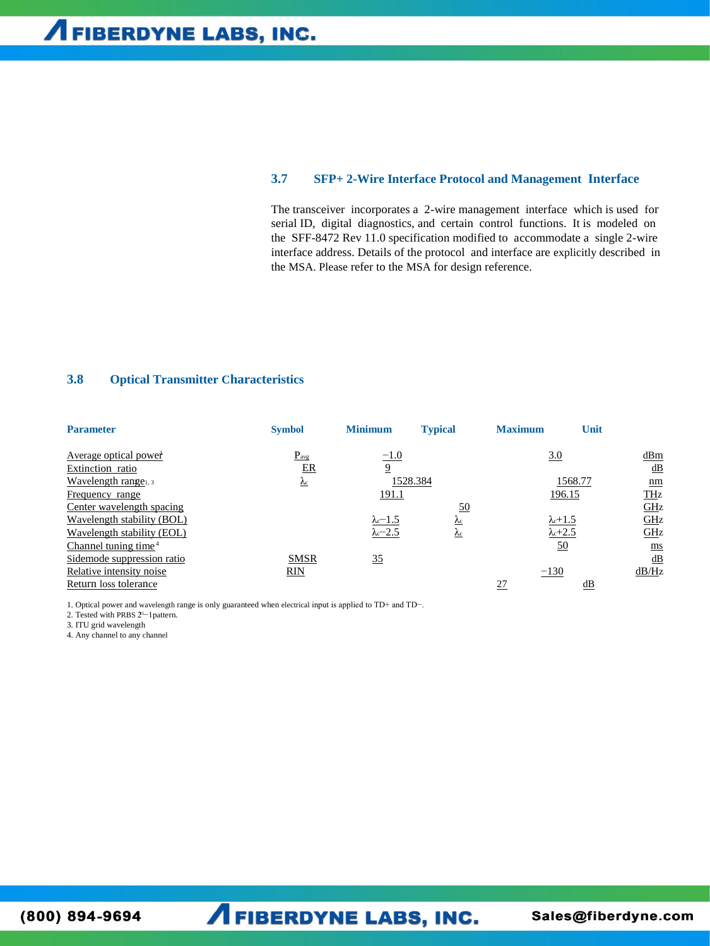#### $3.7$ **SFP+2-Wire Interface Protocol and Management Interface**

The transceiver incorporates a 2-wire management interface which is used for serial ID, digital diagnostics, and certain control functions. It is modeled on the SFF-8472 Rev 11.0 specification modified to accommodate a single 2-wire interface address. Details of the protocol and interface are explicitly described in the MSA. Please refer to the MSA for design reference.

### 3.8 **Optical Transmitter Characteristics**

| <b>Parameter</b>                 | <b>Symbol</b> | <b>Minimum</b>            | <b>Typical</b>          | <b>Maximum</b> | Unit                    |                   |
|----------------------------------|---------------|---------------------------|-------------------------|----------------|-------------------------|-------------------|
| <u>Average optical power</u>     | $P_{\rm avg}$ | $-1.0$                    |                         |                | 3.0                     | dBm               |
| Extinction ratio                 | $E_{\rm R}$   | $\overline{9}$            |                         |                |                         | $\underline{dB}$  |
| Wavelength range <sub>1, 3</sub> | $\mathbf{r}$  |                           | 1528.384                |                | 1568.77                 | $\mathbf{nm}$     |
| Frequency range                  |               | 191.1                     |                         |                | 196.15                  | <b>THz</b>        |
| Center wavelength spacing        |               |                           | <u>50</u>               |                |                         | $\underline{GH}z$ |
| Wavelength stability (BOL)       |               | $\lambda$ <sup>-1.5</sup> | $\underline{\lambda_c}$ |                | $\lambda$ c+1.5         | GLZ               |
| Wavelength stability (EOL)       |               | $\lambda$ <sup>-2.5</sup> | $\mathbf{A}$ c          |                | $\lambda$ c+2.5         | GHz               |
| Channel tuning time <sup>4</sup> |               |                           |                         |                | 50                      | $\mathbf{m}$ s    |
| Sidemode suppression ratio       | <b>SMSR</b>   | 35                        |                         |                |                         | $\underline{dB}$  |
| Relative intensity noise         | RIN           |                           |                         | $-130$         |                         | dB/Hz             |
| Return loss tolerance            |               |                           |                         | 27             | $\underline{\text{dB}}$ |                   |

1. Optical power and wavelength range is only guaranteed when electrical input is applied to TD+ and TD-.

2. Tested with PRBS 2<sup>1-1</sup> pattern.

3. ITU grid wavelength

4. Any channel to any channel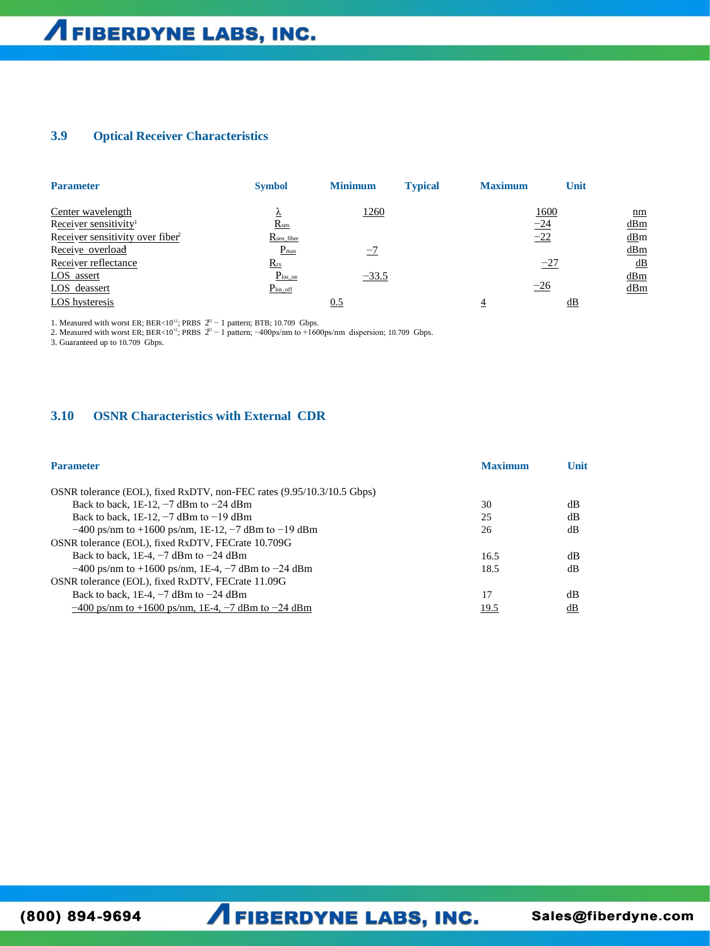### **3.9 Optical Receiver Characteristics**

| <b>Parameter</b>                             | <b>Symbol</b>          | <b>Minimum</b> | <b>Typical</b> | <b>Maximum</b> | Unit  |         |
|----------------------------------------------|------------------------|----------------|----------------|----------------|-------|---------|
| Center wavelength                            | ▵                      | <u>1260</u>    |                |                | 1600  | $n_{m}$ |
| Receiver sensitivity <sup>1</sup>            | R <sub>sen</sub>       |                |                | $-24$          |       | dBm     |
| Receiver sensitivity over fiber <sup>2</sup> | R <sub>sen fiber</sub> |                |                | $-22$          |       | dBm     |
| Receive overload                             | $P_{max}$              | $-7$           |                |                |       | dBm     |
| Receiver reflectance                         | $R_{rx}$               |                |                |                | $-27$ | dB      |
| LOS assert                                   | $P_{\text{los\_on}}$   | $-33.5$        |                |                |       | dBm     |
| LOS deassert                                 | $P_{\text{los\_off}}$  |                |                | $-26$          |       | dBm     |
| LOS hysteresis                               |                        | 0.5            |                |                | dB    |         |

1. Measured with worst ER; BER<10  $\beta$ <sup>31</sup> − 1 pattern; BTB; 10.709 Gbps.

1. Measured with worst ER;  $BER < 10^{12}$ ; PRBS 2<br>2. Measured with worst ER;  $BER < 10^{12}$ ; PRBS 2 ; PRBS 2 − 1 pattern; −400ps/nm to +1600ps/nm dispersion; 10.709 Gbps.

3. Guaranteed up to 10.709 Gbps.

### **3.10 OSNR Characteristics with External CDR**

| <b>Parameter</b>                                                       | <b>Maximum</b> | Unit |
|------------------------------------------------------------------------|----------------|------|
| OSNR tolerance (EOL), fixed RxDTV, non-FEC rates (9.95/10.3/10.5 Gbps) |                |      |
| Back to back, 1E-12, $-7$ dBm to $-24$ dBm                             | 30             | dВ   |
| Back to back, 1E-12, $-7$ dBm to $-19$ dBm                             | 25             | dВ   |
| $-400$ ps/nm to +1600 ps/nm, 1E-12, -7 dBm to -19 dBm                  | 26             | dВ   |
| OSNR tolerance (EOL), fixed RxDTV, FECrate 10.709G                     |                |      |
| Back to back, 1E-4, $-7$ dBm to $-24$ dBm                              | 16.5           | dВ   |
| $-400$ ps/nm to +1600 ps/nm, 1E-4, $-7$ dBm to $-24$ dBm               | 18.5           | dВ   |
| OSNR tolerance (EOL), fixed RxDTV, FECrate 11.09G                      |                |      |
| Back to back, 1E-4, $-7$ dBm to $-24$ dBm                              | 17             | dB   |
| $-400$ ps/nm to $+1600$ ps/nm, 1E-4, $-7$ dBm to $-24$ dBm             | 19.5           | dВ   |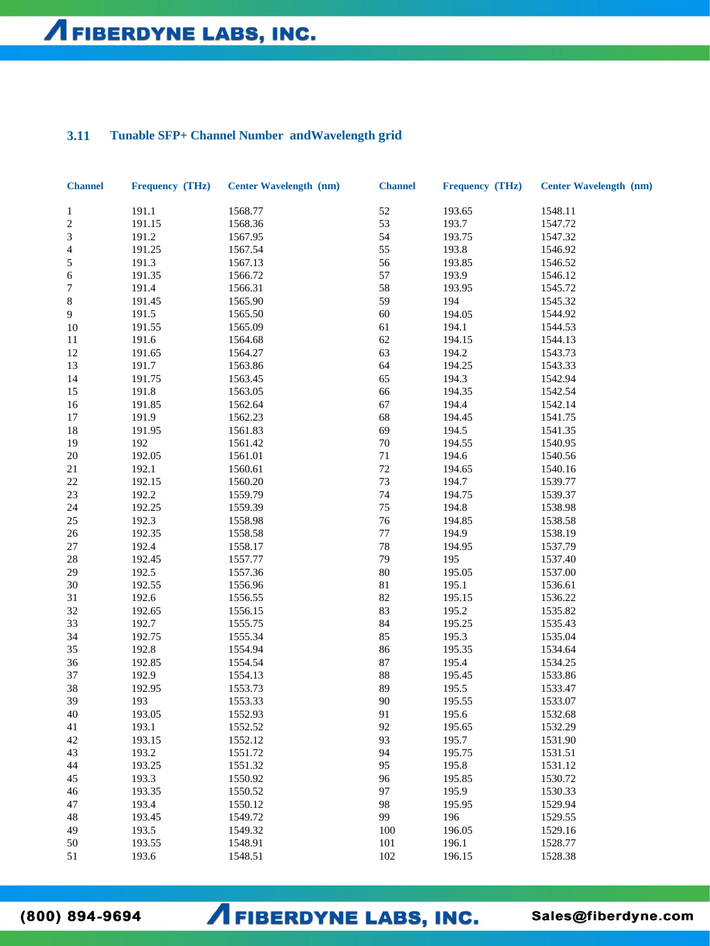### Tunable SFP+ Channel Number and Wavelength grid 3.11

| <b>Channel</b>           | Frequency (THz) | <b>Center Wavelength (nm)</b> | <b>Channel</b> | Frequency (THz) | <b>Center Wavelength (nm)</b> |
|--------------------------|-----------------|-------------------------------|----------------|-----------------|-------------------------------|
| $\mathbf{1}$             | 191.1           | 1568.77                       | 52             | 193.65          | 1548.11                       |
| $\sqrt{2}$               | 191.15          | 1568.36                       | 53             | 193.7           | 1547.72                       |
| 3                        | 191.2           | 1567.95                       | 54             | 193.75          | 1547.32                       |
| $\overline{\mathcal{A}}$ | 191.25          | 1567.54                       | 55             | 193.8           | 1546.92                       |
| 5                        | 191.3           | 1567.13                       | 56             | 193.85          | 1546.52                       |
| 6                        | 191.35          | 1566.72                       | 57             | 193.9           | 1546.12                       |
| 7                        | 191.4           | 1566.31                       | 58             | 193.95          | 1545.72                       |
| $\,8\,$                  | 191.45          | 1565.90                       | 59             | 194             | 1545.32                       |
| 9                        | 191.5           | 1565.50                       | 60             | 194.05          | 1544.92                       |
| 10                       | 191.55          | 1565.09                       | 61             | 194.1           | 1544.53                       |
| 11                       | 191.6           | 1564.68                       | 62             | 194.15          | 1544.13                       |
| 12                       | 191.65          | 1564.27                       | 63             | 194.2           | 1543.73                       |
| 13                       | 191.7           | 1563.86                       | 64             | 194.25          | 1543.33                       |
| 14                       | 191.75          | 1563.45                       | 65             | 194.3           | 1542.94                       |
| 15                       | 191.8           | 1563.05                       | 66             | 194.35          | 1542.54                       |
| 16                       | 191.85          | 1562.64                       | 67             | 194.4           | 1542.14                       |
| 17                       | 191.9           | 1562.23                       | 68             | 194.45          | 1541.75                       |
| 18                       | 191.95          | 1561.83                       | 69             | 194.5           | 1541.35                       |
| 19                       | 192             | 1561.42                       | $70\,$         | 194.55          | 1540.95                       |
| $20\,$                   | 192.05          | 1561.01                       | $71\,$         | 194.6           | 1540.56                       |
| 21                       | 192.1           | 1560.61                       | 72             | 194.65          | 1540.16                       |
| $22\,$                   | 192.15          | 1560.20                       | 73             | 194.7           | 1539.77                       |
| $23\,$                   | 192.2           | 1559.79                       | 74             | 194.75          | 1539.37                       |
| 24                       | 192.25          | 1559.39                       | 75             | 194.8           | 1538.98                       |
| 25                       | 192.3           | 1558.98                       | 76             | 194.85          | 1538.58                       |
| $26\,$                   | 192.35          | 1558.58                       | $77\,$         | 194.9           | 1538.19                       |
| 27                       | 192.4           | 1558.17                       | 78             | 194.95          | 1537.79                       |
| $28\,$                   | 192.45          | 1557.77                       | 79             | 195             | 1537.40                       |
| 29                       | 192.5           |                               | 80             | 195.05          |                               |
| 30                       | 192.55          | 1557.36                       | $8\sqrt{1}$    | 195.1           | 1537.00                       |
|                          |                 | 1556.96                       |                |                 | 1536.61                       |
| 31                       | 192.6           | 1556.55                       | 82             | 195.15          | 1536.22                       |
| 32                       | 192.65          | 1556.15                       | 83             | 195.2           | 1535.82                       |
| 33                       | 192.7           | 1555.75                       | 84             | 195.25          | 1535.43                       |
| 34                       | 192.75          | 1555.34                       | 85             | 195.3           | 1535.04                       |
| 35                       | 192.8           | 1554.94                       | 86             | 195.35          | 1534.64                       |
| 36                       | 192.85          | 1554.54                       | 87             | 195.4           | 1534.25                       |
| 37                       | 192.9           | 1554.13                       | 88             | 195.45          | 1533.86                       |
| 38                       | 192.95          | 1553.73                       | 89             | 195.5           | 1533.47                       |
| 39                       | 193             | 1553.33                       | 90             | 195.55          | 1533.07                       |
| $40\,$                   | 193.05          | 1552.93                       | 91             | 195.6           | 1532.68                       |
| 41                       | 193.1           | 1552.52                       | 92             | 195.65          | 1532.29                       |
| 42                       | 193.15          | 1552.12                       | 93             | 195.7           | 1531.90                       |
| 43                       | 193.2           | 1551.72                       | 94             | 195.75          | 1531.51                       |
| 44                       | 193.25          | 1551.32                       | 95             | 195.8           | 1531.12                       |
| 45                       | 193.3           | 1550.92                       | 96             | 195.85          | 1530.72                       |
| 46                       | 193.35          | 1550.52                       | 97             | 195.9           | 1530.33                       |
| 47                       | 193.4           | 1550.12                       | 98             | 195.95          | 1529.94                       |
| 48                       | 193.45          | 1549.72                       | 99             | 196             | 1529.55                       |
| 49                       | 193.5           | 1549.32                       | 100            | 196.05          | 1529.16                       |
| 50                       | 193.55          | 1548.91                       | 101            | 196.1           | 1528.77                       |
| 51                       | 193.6           | 1548.51                       | 102            | 196.15          | 1528.38                       |

 $(800) 894 - 9694$ 

**AFIBERDYNE LABS, INC.**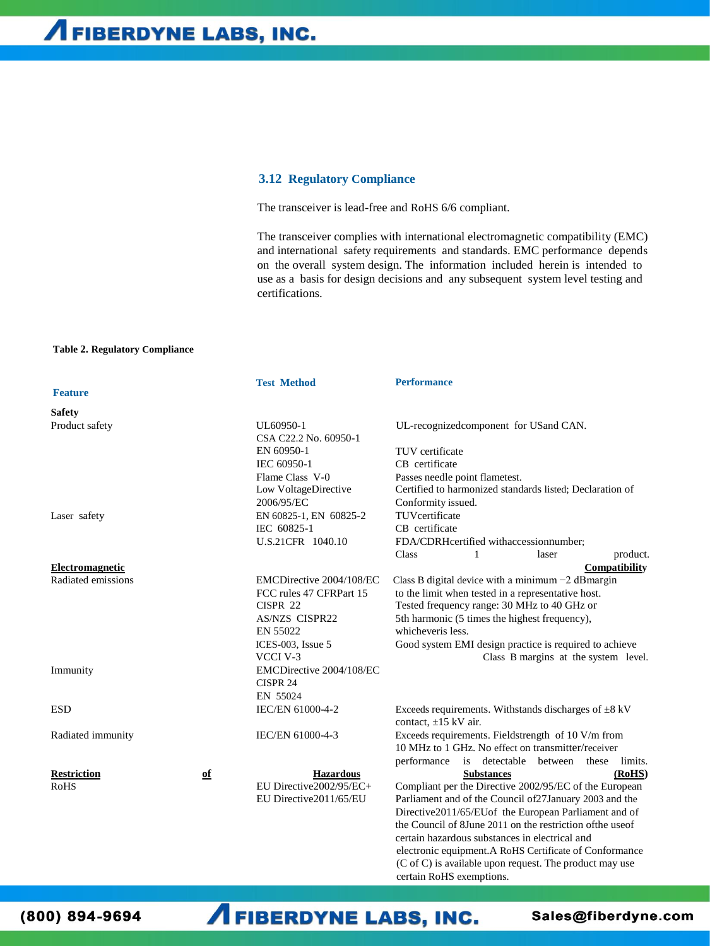### **3.12 Regulatory Compliance**

The transceiver is lead-free and RoHS 6/6 compliant.

The transceiver complies with international electromagnetic compatibility (EMC) and international safety requirements and standards. EMC performance depends on the overall system design. The information included herein is intended to use as a basis for design decisions and any subsequent system level testing and certifications.

### **Table 2. Regulatory Compliance**

|                    |    | <b>Test Method</b>       | <b>Performance</b>                                         |
|--------------------|----|--------------------------|------------------------------------------------------------|
| <b>Feature</b>     |    |                          |                                                            |
| <b>Safety</b>      |    |                          |                                                            |
| Product safety     |    | UL60950-1                | UL-recognizedcomponent for USand CAN.                      |
|                    |    | CSA C22.2 No. 60950-1    |                                                            |
|                    |    | EN 60950-1               | TUV certificate                                            |
|                    |    | IEC 60950-1              | CB certificate                                             |
|                    |    | Flame Class V-0          | Passes needle point flametest.                             |
|                    |    | Low VoltageDirective     | Certified to harmonized standards listed; Declaration of   |
|                    |    | 2006/95/EC               | Conformity issued.                                         |
| Laser safety       |    | EN 60825-1, EN 60825-2   | TUVcertificate                                             |
|                    |    | IEC 60825-1              | CB certificate                                             |
|                    |    | U.S.21CFR 1040.10        | FDA/CDRHcertified withaccessionnumber;                     |
|                    |    |                          | product.<br>Class<br>1<br>laser                            |
| Electromagnetic    |    |                          | <b>Compatibility</b>                                       |
| Radiated emissions |    | EMCDirective 2004/108/EC | Class B digital device with a minimum $-2$ dB margin       |
|                    |    | FCC rules 47 CFRPart 15  | to the limit when tested in a representative host.         |
|                    |    | CISPR 22                 | Tested frequency range: 30 MHz to 40 GHz or                |
|                    |    | <b>AS/NZS CISPR22</b>    | 5th harmonic (5 times the highest frequency),              |
|                    |    | EN 55022                 | whicheveris less.                                          |
|                    |    | ICES-003, Issue $5$      | Good system EMI design practice is required to achieve     |
|                    |    | VCCI V-3                 | Class B margins at the system level.                       |
| Immunity           |    | EMCDirective 2004/108/EC |                                                            |
|                    |    | CISPR 24                 |                                                            |
|                    |    | EN 55024                 |                                                            |
| <b>ESD</b>         |    | IEC/EN 61000-4-2         | Exceeds requirements. Withstands discharges of $\pm 8$ kV  |
|                    |    |                          | contact, $\pm 15$ kV air.                                  |
| Radiated immunity  |    | IEC/EN 61000-4-3         | Exceeds requirements. Fieldstrength of 10 V/m from         |
|                    |    |                          | 10 MHz to 1 GHz. No effect on transmitter/receiver         |
|                    |    |                          | performance is detectable between these<br>limits.         |
| <b>Restriction</b> | of | <b>Hazardous</b>         | (RoHS)<br><b>Substances</b>                                |
| RoHS               |    | EU Directive2002/95/EC+  | Compliant per the Directive 2002/95/EC of the European     |
|                    |    | EU Directive2011/65/EU   | Parliament and of the Council of 27 January 2003 and the   |
|                    |    |                          | Directive2011/65/EUof the European Parliament and of       |
|                    |    |                          | the Council of 8June 2011 on the restriction of the use of |
|                    |    |                          | certain hazardous substances in electrical and             |
|                    |    |                          | electronic equipment.A RoHS Certificate of Conformance     |
|                    |    |                          | (C of C) is available upon request. The product may use    |
|                    |    |                          | certain RoHS exemptions.                                   |

(800) 894-9694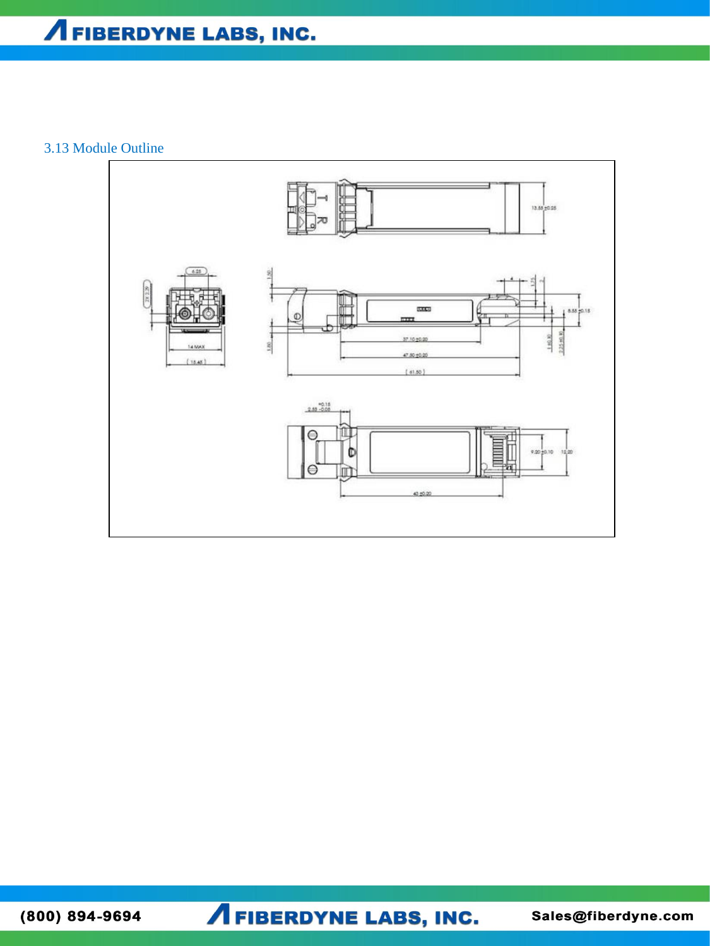## 3.13 Module Outline



 $(800) 894 - 9694$ 

**A FIBERDYNE LABS, INC.**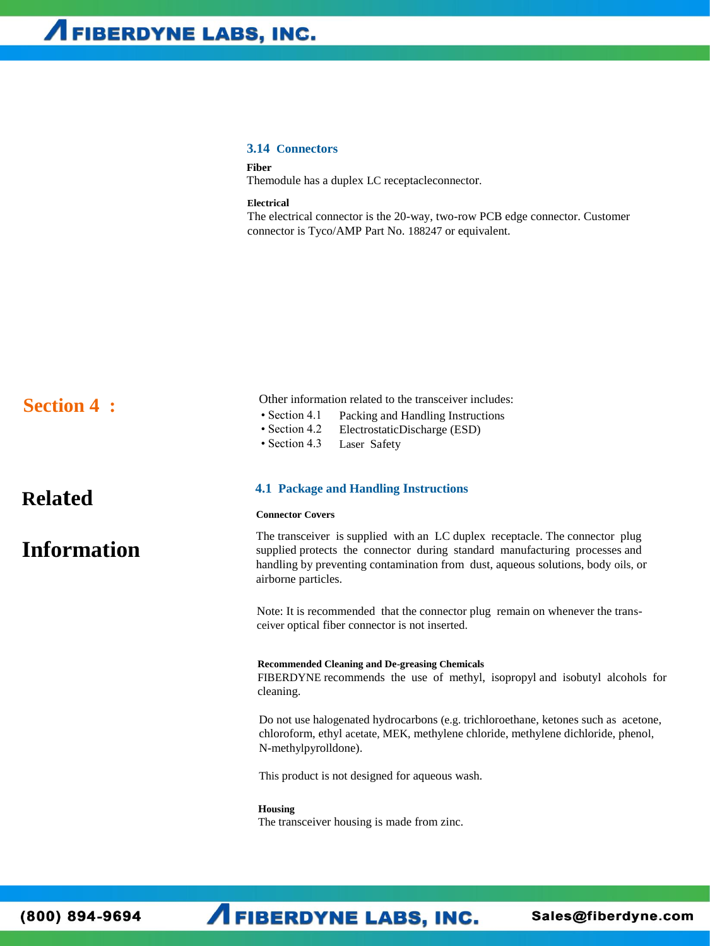### **3.14 Connectors**

**Fiber**

Themodule has a duplex LC receptacleconnector.

**Electrical**

The electrical connector is the 20-way, two-row PCB edge connector. Customer connector is Tyco/AMP Part No. 188247 or equivalent.

| <b>Section 4:</b> | Other information related to the transceiver includes:<br>• Section 4.1<br>Packing and Handling Instructions<br>• Section 4.2<br>ElectrostaticDischarge (ESD)<br>• Section 4.3<br>Laser Safety                                                                         |  |  |  |  |
|-------------------|------------------------------------------------------------------------------------------------------------------------------------------------------------------------------------------------------------------------------------------------------------------------|--|--|--|--|
| <b>Related</b>    | <b>4.1 Package and Handling Instructions</b>                                                                                                                                                                                                                           |  |  |  |  |
|                   | <b>Connector Covers</b>                                                                                                                                                                                                                                                |  |  |  |  |
| Information       | The transceiver is supplied with an LC duplex receptacle. The connector plug<br>supplied protects the connector during standard manufacturing processes and<br>handling by preventing contamination from dust, aqueous solutions, body oils, or<br>airborne particles. |  |  |  |  |
|                   | Note: It is recommended that the connector plug remain on whenever the trans-<br>ceiver optical fiber connector is not inserted.                                                                                                                                       |  |  |  |  |
|                   | <b>Recommended Cleaning and De-greasing Chemicals</b><br>FIBERDYNE recommends the use of methyl, isopropyl and isobutyl alcohols for<br>cleaning.                                                                                                                      |  |  |  |  |
|                   | Do not use halogenated hydrocarbons (e.g. trichloroethane, ketones such as acetone,<br>chloroform, ethyl acetate, MEK, methylene chloride, methylene dichloride, phenol,<br>N-methylpyrolldone).                                                                       |  |  |  |  |
|                   | This product is not designed for aqueous wash.                                                                                                                                                                                                                         |  |  |  |  |
|                   | <b>Housing</b><br>The transceiver housing is made from zinc.                                                                                                                                                                                                           |  |  |  |  |

**AFIBERDYNE LABS, INC.**